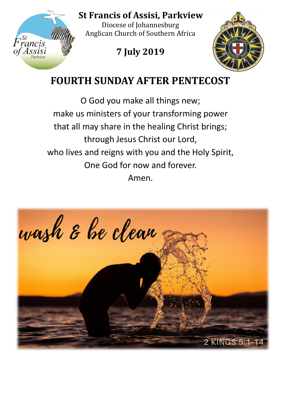

**St Francis of Assisi, Parkview** 

Diocese of Johannesburg Anglican Church of Southern Africa

# **7 July 2019**



# **FOURTH SUNDAY AFTER PENTECOST**

O God you make all things new; make us ministers of your transforming power that all may share in the healing Christ brings; through Jesus Christ our Lord, who lives and reigns with you and the Holy Spirit, One God for now and forever.

Amen.

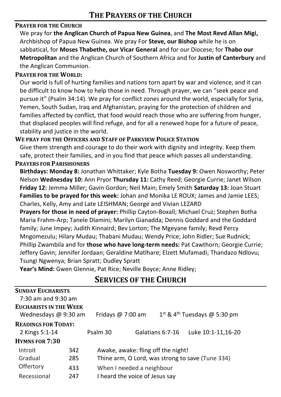#### **PRAYER FOR THE CHURCH**

We pray for **the Anglican Church of Papua New Guinea**, and **The Most Revd Allan Migi,**  Archbishop of Papua New Guinea. We pray For **Steve, our Bishop** while he is on sabbatical, for **Moses Thabethe, our Vicar General** and for our Diocese; for **Thabo our Metropolitan** and the Anglican Church of Southern Africa and for **Justin of Canterbury** and the Anglican Communion.

#### **PRAYER FOR THE WORLD:**

Our world is full of hurting families and nations torn apart by war and violence, and it can be difficult to know how to help those in need. Through prayer, we can "seek peace and pursue it" (Psalm 34:14). We pray for conflict zones around the world, especially for Syria, Yemen, South Sudan, Iraq and Afghanistan, praying for the protection of children and families affected by conflict, that food would reach those who are suffering from hunger, that displaced peoples will find refuge, and for all a renewed hope for a future of peace, stability and justice in the world.

### **WE PRAY FOR THE OFFICERS AND STAFF OF PARKVIEW POLICE STATION**

Give them strength and courage to do their work with dignity and integrity. Keep them safe, protect their families, and in you find that peace which passes all understanding.

#### **PRAYERS FOR PARISHIONERS**

**Birthdays: Monday 8:** Jonathan Whittaker; Kyle Botha **Tuesday 9:** Owen Nosworthy; Peter Nelson **Wednesday 10:** Ann Pryor **Thursday 11:** Cathy Reed; Georgie Currie; Janet Wilson **Friday 12:** Jemma Miller; Gavin Gordon; Neil Main; Emely Smith **Saturday 13:** Joan Stuart **Families to be prayed for this week:** Johan and Monika LE ROUX; James and Jamie LEES; Charles, Kelly, Amy and Late LEISHMAN; George and Vivian LEZARD

**Prayers for those in need of prayer:** Phillip Cayton-Boxall; Michael Cruz; Stephen Botha Maria Frahm-Arp; Tanele Dlamini; Marilyn Gianadda; Dennis Goddard and the Goddard family; June Impey; Judith Kinnaird; Bev Lorton; The Mgeyane family; Revd Percy Mngomezulu; Hilary Mudau; Thabani Mudau; Wendy Price; John Ridler; Sue Rudnick; Phillip Zwambila and for **those who have long-term needs:** Pat Cawthorn; Georgie Currie; Jeffery Gavin; Jennifer Jordaan; Geraldine Matlhare; Elzett Mufamadi; Thandazo Ndlovu; Tsungi Ngwenya; Brian Spratt; Dudley Spratt

**Year's Mind:** Gwen Glennie, Pat Rice; Neville Boyce; Anne Ridley;

## **SERVICES OF THE CHURCH**

| <b>SUNDAY EUCHARISTS</b>      |     |                                    |                                                  |                                            |                    |  |  |
|-------------------------------|-----|------------------------------------|--------------------------------------------------|--------------------------------------------|--------------------|--|--|
| $7:30$ am and $9:30$ am       |     |                                    |                                                  |                                            |                    |  |  |
| <b>EUCHARISTS IN THE WEEK</b> |     |                                    |                                                  |                                            |                    |  |  |
| Wednesdays @ 9:30 am          |     | Fridays $@7:00$ am                 |                                                  | $1st$ & 4 <sup>th</sup> Tuesdays @ 5:30 pm |                    |  |  |
| <b>READINGS FOR TODAY:</b>    |     |                                    |                                                  |                                            |                    |  |  |
| 2 Kings 5:1-14                |     | Psalm 30                           |                                                  | Galatians 6:7-16                           | Luke 10:1-11,16-20 |  |  |
| <b>HYMNS FOR 7:30</b>         |     |                                    |                                                  |                                            |                    |  |  |
| Introit                       | 342 | Awake, awake: fling off the night! |                                                  |                                            |                    |  |  |
| Gradual                       | 285 |                                    | Thine arm, O Lord, was strong to save (Tune 334) |                                            |                    |  |  |
| Offertory                     | 433 | When I needed a neighbour          |                                                  |                                            |                    |  |  |
| Recessional                   | 247 | I heard the voice of Jesus say     |                                                  |                                            |                    |  |  |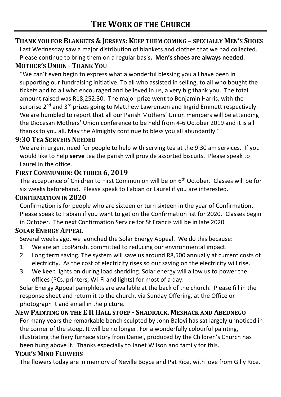# **THANK YOU FOR BLANKETS & JERSEYS: KEEP THEM COMING – SPECIALLY MEN'S SHOES**

Last Wednesday saw a major distribution of blankets and clothes that we had collected. Please continue to bring them on a regular basis**. Men's shoes are always needed.**

#### **MOTHER'S UNION - THANK YOU**

"We can't even begin to express what a wonderful blessing you all have been in supporting our fundraising initiative. To all who assisted in selling, to all who bought the tickets and to all who encouraged and believed in us, a very big thank you. The total amount raised was R18,252.30. The major prize went to Benjamin Harris, with the surprise  $2^{nd}$  and  $3^{rd}$  prizes going to Matthew Lawrenson and Ingrid Emmett respectively. We are humbled to report that all our Parish Mothers' Union members will be attending the Diocesan Mothers' Union conference to be held from 4-6 October 2019 and it is all thanks to you all. May the Almighty continue to bless you all abundantly."

#### **9:30 TEA SERVERS NEEDED**

We are in urgent need for people to help with serving tea at the 9:30 am services. If you would like to help **serve** tea the parish will provide assorted biscuits. Please speak to Laurel in the office.

#### **FIRST COMMUNION: OCTOBER 6, 2019**

The acceptance of Children to First Communion will be on 6<sup>th</sup> October. Classes will be for six weeks beforehand. Please speak to Fabian or Laurel if you are interested.

#### **CONFIRMATION IN 2020**

Confirmation is for people who are sixteen or turn sixteen in the year of Confirmation. Please speak to Fabian if you want to get on the Confirmation list for 2020. Classes begin in October. The next Confirmation Service for St Francis will be in late 2020.

#### **SOLAR ENERGY APPEAL**

Several weeks ago, we launched the Solar Energy Appeal. We do this because:

- 1. We are an EcoParish, committed to reducing our environmental impact.
- 2. Long term saving. The system will save us around R8,500 annually at current costs of electricity. As the cost of electricity rises so our saving on the electricity will rise.
- 3. We keep lights on during load shedding. Solar energy will allow us to power the offices (PCs, printers, Wi-Fi and lights) for most of a day.

Solar Energy Appeal pamphlets are available at the back of the church. Please fill in the response sheet and return it to the church, via Sunday Offering, at the Office or photograph it and email in the picture.

#### **NEW PAINTING ON THE E H HALL STOEP - SHADRACK, MESHACK AND ABEDNEGO**

For many years the remarkable bench sculpted by John Baloyi has sat largely unnoticed in the corner of the stoep. It will be no longer. For a wonderfully colourful painting, illustrating the fiery furnace story from Daniel, produced by the Children's Church has been hung above it. Thanks especially to Janet Wilson and family for this.

#### **YEAR'S MIND FLOWERS**

The flowers today are in memory of Neville Boyce and Pat Rice, with love from Gilly Rice.